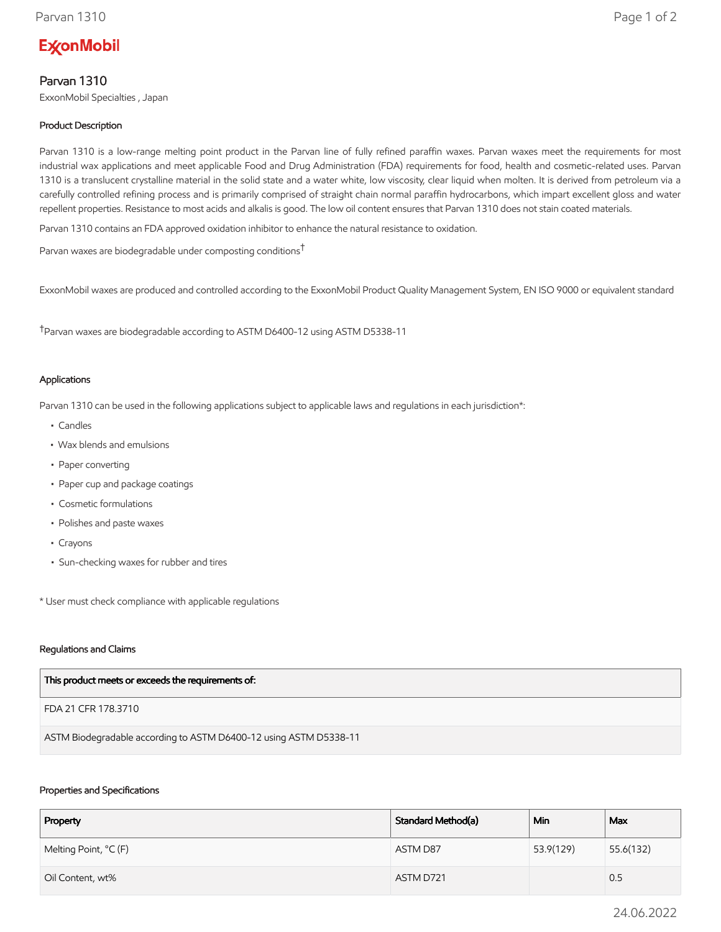# **ExconMobil**

# Parvan 1310

ExxonMobil Specialties , Japan

## Product Description

Parvan 1310 is a low-range melting point product in the Parvan line of fully refined paraffin waxes. Parvan waxes meet the requirements for most industrial wax applications and meet applicable Food and Drug Administration (FDA) requirements for food, health and cosmetic-related uses. Parvan 1310 is a translucent crystalline material in the solid state and a water white, low viscosity, clear liquid when molten. It is derived from petroleum via a carefully controlled refining process and is primarily comprised of straight chain normal paraffin hydrocarbons, which impart excellent gloss and water repellent properties. Resistance to most acids and alkalis is good. The low oil content ensures that Parvan 1310 does not stain coated materials.

Parvan 1310 contains an FDA approved oxidation inhibitor to enhance the natural resistance to oxidation.

Parvan waxes are biodegradable under composting conditions†

ExxonMobil waxes are produced and controlled according to the ExxonMobil Product Quality Management System, EN ISO 9000 or equivalent standard

†Parvan waxes are biodegradable according to ASTM D6400-12 using ASTM D5338-11

#### Applications

Parvan 1310 can be used in the following applications subject to applicable laws and regulations in each jurisdiction\*:

- Candles
- Wax blends and emulsions
- Paper converting
- Paper cup and package coatings
- Cosmetic formulations
- Polishes and paste waxes
- Crayons
- Sun-checking waxes for rubber and tires

\* User must check compliance with applicable regulations

#### Regulations and Claims

| This product meets or exceeds the requirements of: |  |
|----------------------------------------------------|--|
|----------------------------------------------------|--|

FDA 21 CFR 178.3710

ASTM Biodegradable according to ASTM D6400-12 using ASTM D5338-11

#### Properties and Specifications

| Property              | Standard Method(a) | Min       | Max       |
|-----------------------|--------------------|-----------|-----------|
| Melting Point, °C (F) | ASTM D87           | 53.9(129) | 55.6(132) |
| Oil Content, wt%      | ASTM D721          |           | 0.5       |